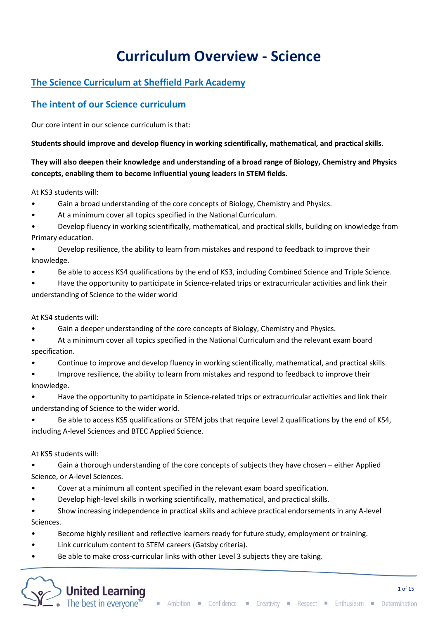# **Curriculum Overview - Science**

# **The Science Curriculum at Sheffield Park Academy**

## **The intent of our Science curriculum**

Our core intent in our science curriculum is that:

**Students should improve and develop fluency in working scientifically, mathematical, and practical skills.**

### **They will also deepen their knowledge and understanding of a broad range of Biology, Chemistry and Physics concepts, enabling them to become influential young leaders in STEM fields.**

At KS3 students will:

- Gain a broad understanding of the core concepts of Biology, Chemistry and Physics.
- At a minimum cover all topics specified in the National Curriculum.
- Develop fluency in working scientifically, mathematical, and practical skills, building on knowledge from Primary education.
- Develop resilience, the ability to learn from mistakes and respond to feedback to improve their knowledge.
- Be able to access KS4 qualifications by the end of KS3, including Combined Science and Triple Science.
- Have the opportunity to participate in Science-related trips or extracurricular activities and link their understanding of Science to the wider world

At KS4 students will:

- Gain a deeper understanding of the core concepts of Biology, Chemistry and Physics.
- At a minimum cover all topics specified in the National Curriculum and the relevant exam board specification.
- Continue to improve and develop fluency in working scientifically, mathematical, and practical skills.
- Improve resilience, the ability to learn from mistakes and respond to feedback to improve their knowledge.
- Have the opportunity to participate in Science-related trips or extracurricular activities and link their understanding of Science to the wider world.
- Be able to access KS5 qualifications or STEM jobs that require Level 2 qualifications by the end of KS4, including A-level Sciences and BTEC Applied Science.

At KS5 students will:

• Gain a thorough understanding of the core concepts of subjects they have chosen – either Applied Science, or A-level Sciences.

- Cover at a minimum all content specified in the relevant exam board specification.
- Develop high-level skills in working scientifically, mathematical, and practical skills.

• Show increasing independence in practical skills and achieve practical endorsements in any A-level Sciences.

- Become highly resilient and reflective learners ready for future study, employment or training.
- Link curriculum content to STEM careers (Gatsby criteria).
- Be able to make cross-curricular links with other Level 3 subjects they are taking.

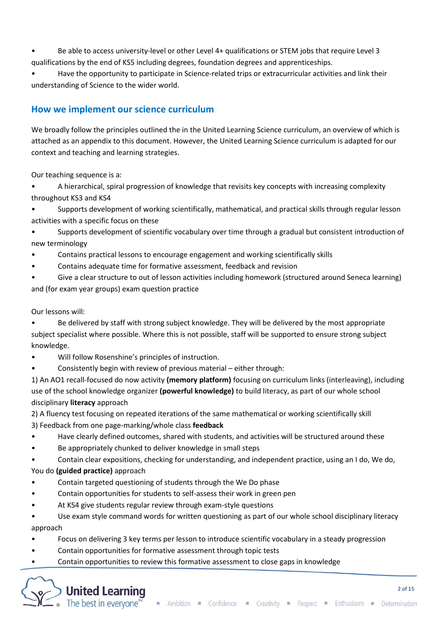• Be able to access university-level or other Level 4+ qualifications or STEM jobs that require Level 3 qualifications by the end of KS5 including degrees, foundation degrees and apprenticeships.

• Have the opportunity to participate in Science-related trips or extracurricular activities and link their understanding of Science to the wider world.

### **How we implement our science curriculum**

We broadly follow the principles outlined the in the United Learning Science curriculum, an overview of which is attached as an appendix to this document. However, the United Learning Science curriculum is adapted for our context and teaching and learning strategies.

Our teaching sequence is a:

• A hierarchical, spiral progression of knowledge that revisits key concepts with increasing complexity throughout KS3 and KS4

• Supports development of working scientifically, mathematical, and practical skills through regular lesson activities with a specific focus on these

• Supports development of scientific vocabulary over time through a gradual but consistent introduction of new terminology

- Contains practical lessons to encourage engagement and working scientifically skills
- Contains adequate time for formative assessment, feedback and revision
- Give a clear structure to out of lesson activities including homework (structured around Seneca learning) and (for exam year groups) exam question practice

Our lessons will:

• Be delivered by staff with strong subject knowledge. They will be delivered by the most appropriate subject specialist where possible. Where this is not possible, staff will be supported to ensure strong subject knowledge.

- Will follow Rosenshine's principles of instruction.
- Consistently begin with review of previous material either through:

1) An AO1 recall-focused do now activity **(memory platform)** focusing on curriculum links (interleaving), including use of the school knowledge organizer **(powerful knowledge)** to build literacy, as part of our whole school disciplinary **literacy** approach

2) A fluency test focusing on repeated iterations of the same mathematical or working scientifically skill 3) Feedback from one page-marking/whole class **feedback** 

- Have clearly defined outcomes, shared with students, and activities will be structured around these
- Be appropriately chunked to deliver knowledge in small steps

• Contain clear expositions, checking for understanding, and independent practice, using an I do, We do, You do **(guided practice)** approach

- Contain targeted questioning of students through the We Do phase
- Contain opportunities for students to self-assess their work in green pen
- At KS4 give students regular review through exam-style questions

• Use exam style command words for written questioning as part of our whole school disciplinary literacy approach

- Focus on delivering 3 key terms per lesson to introduce scientific vocabulary in a steady progression
- Contain opportunities for formative assessment through topic tests
- Contain opportunities to review this formative assessment to close gaps in knowledge

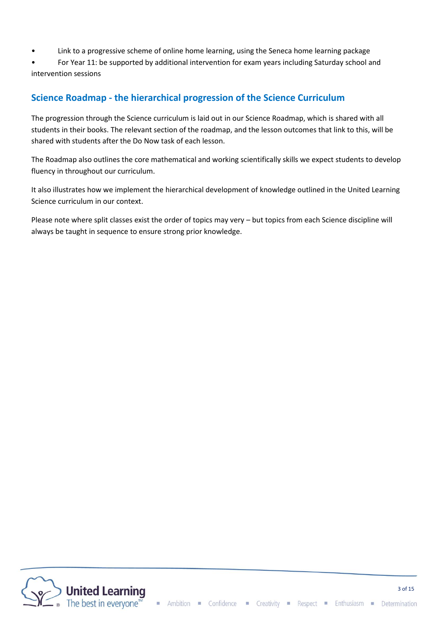- Link to a progressive scheme of online home learning, using the Seneca home learning package
- For Year 11: be supported by additional intervention for exam years including Saturday school and intervention sessions

## **Science Roadmap - the hierarchical progression of the Science Curriculum**

The progression through the Science curriculum is laid out in our Science Roadmap, which is shared with all students in their books. The relevant section of the roadmap, and the lesson outcomes that link to this, will be shared with students after the Do Now task of each lesson.

The Roadmap also outlines the core mathematical and working scientifically skills we expect students to develop fluency in throughout our curriculum.

It also illustrates how we implement the hierarchical development of knowledge outlined in the United Learning Science curriculum in our context.

Please note where split classes exist the order of topics may very – but topics from each Science discipline will always be taught in sequence to ensure strong prior knowledge.

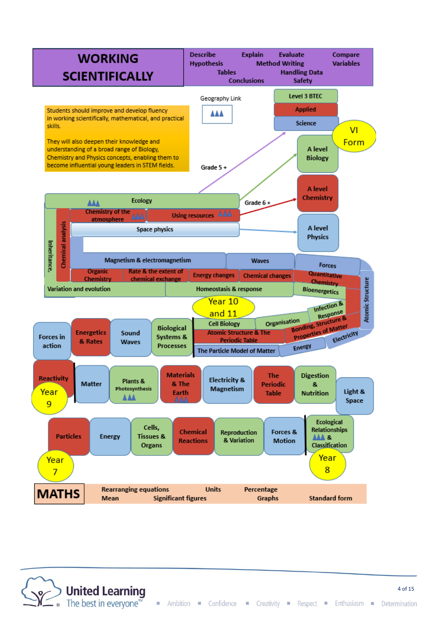

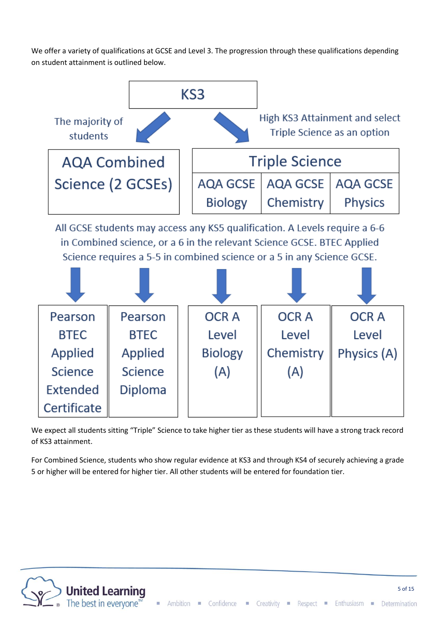We offer a variety of qualifications at GCSE and Level 3. The progression through these qualifications depending on student attainment is outlined below.



All GCSE students may access any KS5 qualification. A Levels require a 6-6 in Combined science, or a 6 in the relevant Science GCSE. BTEC Applied Science requires a 5-5 in combined science or a 5 in any Science GCSE.



We expect all students sitting "Triple" Science to take higher tier as these students will have a strong track record of KS3 attainment.

For Combined Science, students who show regular evidence at KS3 and through KS4 of securely achieving a grade 5 or higher will be entered for higher tier. All other students will be entered for foundation tier.

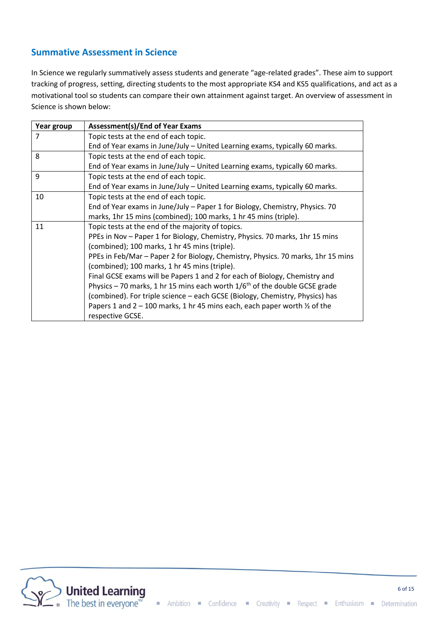### **Summative Assessment in Science**

In Science we regularly summatively assess students and generate "age-related grades". These aim to support tracking of progress, setting, directing students to the most appropriate KS4 and KS5 qualifications, and act as a motivational tool so students can compare their own attainment against target. An overview of assessment in Science is shown below:

| Year group                                    | <b>Assessment(s)/End of Year Exams</b>                                                 |  |  |
|-----------------------------------------------|----------------------------------------------------------------------------------------|--|--|
| $\overline{7}$                                | Topic tests at the end of each topic.                                                  |  |  |
|                                               | End of Year exams in June/July - United Learning exams, typically 60 marks.            |  |  |
| 8                                             | Topic tests at the end of each topic.                                                  |  |  |
|                                               | End of Year exams in June/July - United Learning exams, typically 60 marks.            |  |  |
| 9                                             | Topic tests at the end of each topic.                                                  |  |  |
|                                               | End of Year exams in June/July - United Learning exams, typically 60 marks.            |  |  |
| 10                                            | Topic tests at the end of each topic.                                                  |  |  |
|                                               | End of Year exams in June/July – Paper 1 for Biology, Chemistry, Physics. 70           |  |  |
|                                               | marks, 1hr 15 mins (combined); 100 marks, 1 hr 45 mins (triple).                       |  |  |
| 11                                            | Topic tests at the end of the majority of topics.                                      |  |  |
|                                               | PPEs in Nov - Paper 1 for Biology, Chemistry, Physics. 70 marks, 1hr 15 mins           |  |  |
| (combined); 100 marks, 1 hr 45 mins (triple). |                                                                                        |  |  |
|                                               | PPEs in Feb/Mar - Paper 2 for Biology, Chemistry, Physics. 70 marks, 1hr 15 mins       |  |  |
|                                               | (combined); 100 marks, 1 hr 45 mins (triple).                                          |  |  |
|                                               | Final GCSE exams will be Papers 1 and 2 for each of Biology, Chemistry and             |  |  |
|                                               | Physics - 70 marks, 1 hr 15 mins each worth $1/6th$ of the double GCSE grade           |  |  |
|                                               | (combined). For triple science – each GCSE (Biology, Chemistry, Physics) has           |  |  |
|                                               | Papers 1 and $2 - 100$ marks, 1 hr 45 mins each, each paper worth $\frac{1}{2}$ of the |  |  |
|                                               | respective GCSE.                                                                       |  |  |

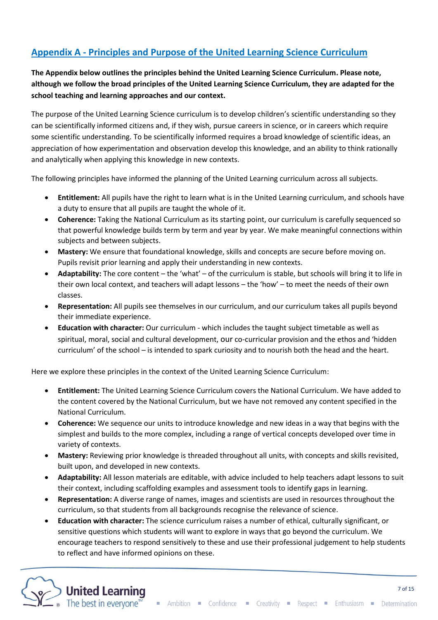# **Appendix A - Principles and Purpose of the United Learning Science Curriculum**

**The Appendix below outlines the principles behind the United Learning Science Curriculum. Please note, although we follow the broad principles of the United Learning Science Curriculum, they are adapted for the school teaching and learning approaches and our context.**

The purpose of the United Learning Science curriculum is to develop children's scientific understanding so they can be scientifically informed citizens and, if they wish, pursue careers in science, or in careers which require some scientific understanding. To be scientifically informed requires a broad knowledge of scientific ideas, an appreciation of how experimentation and observation develop this knowledge, and an ability to think rationally and analytically when applying this knowledge in new contexts.

The following principles have informed the planning of the United Learning curriculum across all subjects.

- **Entitlement:** All pupils have the right to learn what is in the United Learning curriculum, and schools have a duty to ensure that all pupils are taught the whole of it.
- **Coherence:** Taking the National Curriculum as its starting point, our curriculum is carefully sequenced so that powerful knowledge builds term by term and year by year. We make meaningful connections within subjects and between subjects.
- **Mastery:** We ensure that foundational knowledge, skills and concepts are secure before moving on. Pupils revisit prior learning and apply their understanding in new contexts.
- **Adaptability:** The core content the 'what' of the curriculum is stable, but schools will bring it to life in their own local context, and teachers will adapt lessons – the 'how' – to meet the needs of their own classes.
- **Representation:** All pupils see themselves in our curriculum, and our curriculum takes all pupils beyond their immediate experience.
- **Education with character:** Our curriculum which includes the taught subject timetable as well as spiritual, moral, social and cultural development, our co-curricular provision and the ethos and 'hidden curriculum' of the school – is intended to spark curiosity and to nourish both the head and the heart.

Here we explore these principles in the context of the United Learning Science Curriculum:

- **Entitlement:** The United Learning Science Curriculum covers the National Curriculum. We have added to the content covered by the National Curriculum, but we have not removed any content specified in the National Curriculum.
- **Coherence:** We sequence our units to introduce knowledge and new ideas in a way that begins with the simplest and builds to the more complex, including a range of vertical concepts developed over time in variety of contexts.
- **Mastery:** Reviewing prior knowledge is threaded throughout all units, with concepts and skills revisited, built upon, and developed in new contexts.
- **Adaptability:** All lesson materials are editable, with advice included to help teachers adapt lessons to suit their context, including scaffolding examples and assessment tools to identify gaps in learning.
- **Representation:** A diverse range of names, images and scientists are used in resources throughout the curriculum, so that students from all backgrounds recognise the relevance of science.
- **Education with character:** The science curriculum raises a number of ethical, culturally significant, or sensitive questions which students will want to explore in ways that go beyond the curriculum. We encourage teachers to respond sensitively to these and use their professional judgement to help students to reflect and have informed opinions on these.

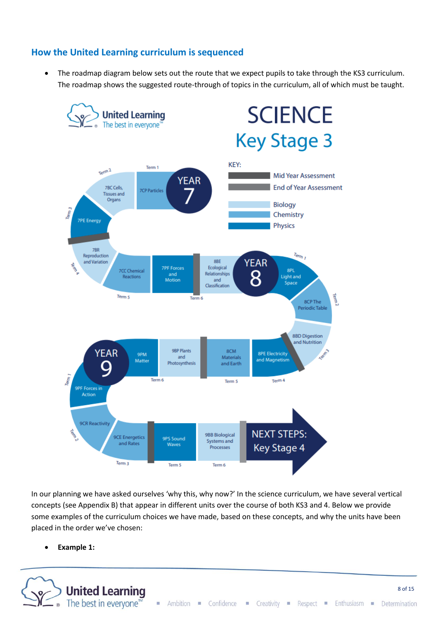### **How the United Learning curriculum is sequenced**

The roadmap diagram below sets out the route that we expect pupils to take through the KS3 curriculum. The roadmap shows the suggested route-through of topics in the curriculum, all of which must be taught.



In our planning we have asked ourselves 'why this, why now?' In the science curriculum, we have several vertical concepts (see Appendix B) that appear in different units over the course of both KS3 and 4. Below we provide some examples of the curriculum choices we have made, based on these concepts, and why the units have been placed in the order we've chosen:

• **Example 1:**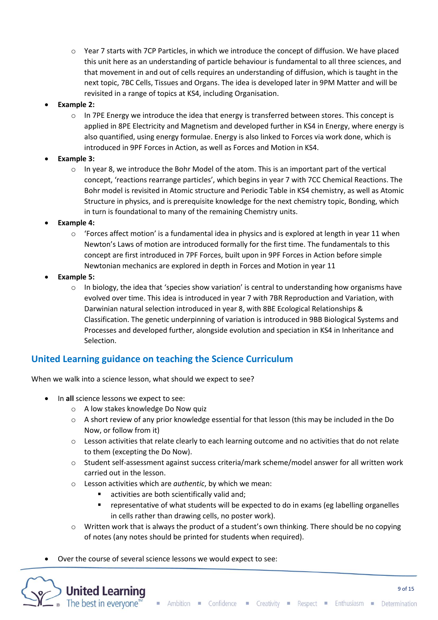- o Year 7 starts with 7CP Particles, in which we introduce the concept of diffusion. We have placed this unit here as an understanding of particle behaviour is fundamental to all three sciences, and that movement in and out of cells requires an understanding of diffusion, which is taught in the next topic, 7BC Cells, Tissues and Organs. The idea is developed later in 9PM Matter and will be revisited in a range of topics at KS4, including Organisation.
- **Example 2:**
	- o In 7PE Energy we introduce the idea that energy is transferred between stores. This concept is applied in 8PE Electricity and Magnetism and developed further in KS4 in Energy, where energy is also quantified, using energy formulae. Energy is also linked to Forces via work done, which is introduced in 9PF Forces in Action, as well as Forces and Motion in KS4.
- **Example 3:**
	- $\circ$  In year 8, we introduce the Bohr Model of the atom. This is an important part of the vertical concept, 'reactions rearrange particles', which begins in year 7 with 7CC Chemical Reactions. The Bohr model is revisited in Atomic structure and Periodic Table in KS4 chemistry, as well as Atomic Structure in physics, and is prerequisite knowledge for the next chemistry topic, Bonding, which in turn is foundational to many of the remaining Chemistry units.
- **Example 4:**
	- $\circ$  'Forces affect motion' is a fundamental idea in physics and is explored at length in year 11 when Newton's Laws of motion are introduced formally for the first time. The fundamentals to this concept are first introduced in 7PF Forces, built upon in 9PF Forces in Action before simple Newtonian mechanics are explored in depth in Forces and Motion in year 11
- **Example 5:**
	- $\circ$  In biology, the idea that 'species show variation' is central to understanding how organisms have evolved over time. This idea is introduced in year 7 with 7BR Reproduction and Variation, with Darwinian natural selection introduced in year 8, with 8BE Ecological Relationships & Classification. The genetic underpinning of variation is introduced in 9BB Biological Systems and Processes and developed further, alongside evolution and speciation in KS4 in Inheritance and Selection.

### **United Learning guidance on teaching the Science Curriculum**

When we walk into a science lesson, what should we expect to see?

• In **all** science lessons we expect to see:

**United Learning** The best in everyone™

- o A low stakes knowledge Do Now quiz
- o A short review of any prior knowledge essential for that lesson (this may be included in the Do Now, or follow from it)
- o Lesson activities that relate clearly to each learning outcome and no activities that do not relate to them (excepting the Do Now).
- o Student self-assessment against success criteria/mark scheme/model answer for all written work carried out in the lesson.
- o Lesson activities which are *authentic*, by which we mean:
	- activities are both scientifically valid and;
	- representative of what students will be expected to do in exams (eg labelling organelles in cells rather than drawing cells, no poster work).
- $\circ$  Written work that is always the product of a student's own thinking. There should be no copying of notes (any notes should be printed for students when required).
- Over the course of several science lessons we would expect to see: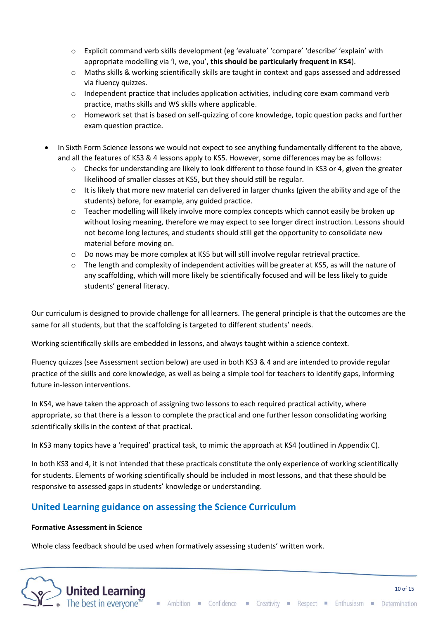- o Explicit command verb skills development (eg 'evaluate' 'compare' 'describe' 'explain' with appropriate modelling via 'I, we, you', **this should be particularly frequent in KS4**).
- o Maths skills & working scientifically skills are taught in context and gaps assessed and addressed via fluency quizzes.
- $\circ$  Independent practice that includes application activities, including core exam command verb practice, maths skills and WS skills where applicable.
- o Homework set that is based on self-quizzing of core knowledge, topic question packs and further exam question practice.
- In Sixth Form Science lessons we would not expect to see anything fundamentally different to the above, and all the features of KS3 & 4 lessons apply to KS5. However, some differences may be as follows:
	- o Checks for understanding are likely to look different to those found in KS3 or 4, given the greater likelihood of smaller classes at KS5, but they should still be regular.
	- $\circ$  It is likely that more new material can delivered in larger chunks (given the ability and age of the students) before, for example, any guided practice.
	- o Teacher modelling will likely involve more complex concepts which cannot easily be broken up without losing meaning, therefore we may expect to see longer direct instruction. Lessons should not become long lectures, and students should still get the opportunity to consolidate new material before moving on.
	- $\circ$  Do nows may be more complex at KS5 but will still involve regular retrieval practice.
	- o The length and complexity of independent activities will be greater at KS5, as will the nature of any scaffolding, which will more likely be scientifically focused and will be less likely to guide students' general literacy.

Our curriculum is designed to provide challenge for all learners. The general principle is that the outcomes are the same for all students, but that the scaffolding is targeted to different students' needs.

Working scientifically skills are embedded in lessons, and always taught within a science context.

Fluency quizzes (see Assessment section below) are used in both KS3 & 4 and are intended to provide regular practice of the skills and core knowledge, as well as being a simple tool for teachers to identify gaps, informing future in-lesson interventions.

In KS4, we have taken the approach of assigning two lessons to each required practical activity, where appropriate, so that there is a lesson to complete the practical and one further lesson consolidating working scientifically skills in the context of that practical.

In KS3 many topics have a 'required' practical task, to mimic the approach at KS4 (outlined in Appendix C).

In both KS3 and 4, it is not intended that these practicals constitute the only experience of working scientifically for students. Elements of working scientifically should be included in most lessons, and that these should be responsive to assessed gaps in students' knowledge or understanding.

### **United Learning guidance on assessing the Science Curriculum**

#### **Formative Assessment in Science**

Whole class feedback should be used when formatively assessing students' written work.



Ambition Confidence Creativity Respect Enthusiasm Determination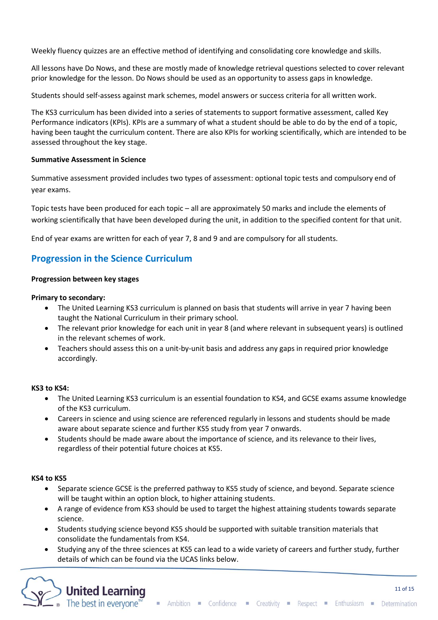Weekly fluency quizzes are an effective method of identifying and consolidating core knowledge and skills.

All lessons have Do Nows, and these are mostly made of knowledge retrieval questions selected to cover relevant prior knowledge for the lesson. Do Nows should be used as an opportunity to assess gaps in knowledge.

Students should self-assess against mark schemes, model answers or success criteria for all written work.

The KS3 curriculum has been divided into a series of statements to support formative assessment, called Key Performance indicators (KPIs). KPIs are a summary of what a student should be able to do by the end of a topic, having been taught the curriculum content. There are also KPIs for working scientifically, which are intended to be assessed throughout the key stage.

#### **Summative Assessment in Science**

Summative assessment provided includes two types of assessment: optional topic tests and compulsory end of year exams.

Topic tests have been produced for each topic – all are approximately 50 marks and include the elements of working scientifically that have been developed during the unit, in addition to the specified content for that unit.

End of year exams are written for each of year 7, 8 and 9 and are compulsory for all students.

### **Progression in the Science Curriculum**

#### **Progression between key stages**

#### **Primary to secondary:**

- The United Learning KS3 curriculum is planned on basis that students will arrive in year 7 having been taught the National Curriculum in their primary school.
- The relevant prior knowledge for each unit in year 8 (and where relevant in subsequent years) is outlined in the relevant schemes of work.
- Teachers should assess this on a unit-by-unit basis and address any gaps in required prior knowledge accordingly.

#### **KS3 to KS4:**

- The United Learning KS3 curriculum is an essential foundation to KS4, and GCSE exams assume knowledge of the KS3 curriculum.
- Careers in science and using science are referenced regularly in lessons and students should be made aware about separate science and further KS5 study from year 7 onwards.
- Students should be made aware about the importance of science, and its relevance to their lives, regardless of their potential future choices at KS5.

#### **KS4 to KS5**

- Separate science GCSE is the preferred pathway to KS5 study of science, and beyond. Separate science will be taught within an option block, to higher attaining students.
- A range of evidence from KS3 should be used to target the highest attaining students towards separate science.
- Students studying science beyond KS5 should be supported with suitable transition materials that consolidate the fundamentals from KS4.
- Studying any of the three sciences at KS5 can lead to a wide variety of careers and further study, further details of which can be found via the UCAS links below.

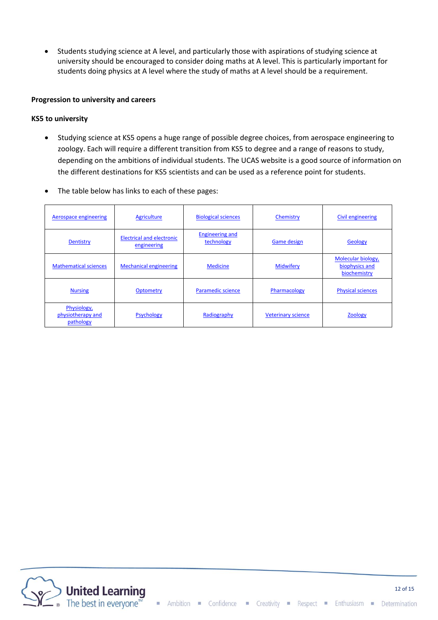• Students studying science at A level, and particularly those with aspirations of studying science at university should be encouraged to consider doing maths at A level. This is particularly important for students doing physics at A level where the study of maths at A level should be a requirement.

#### **Progression to university and careers**

#### **KS5 to university**

- Studying science at KS5 opens a huge range of possible degree choices, from aerospace engineering to zoology. Each will require a different transition from KS5 to degree and a range of reasons to study, depending on the ambitions of individual students. The UCAS website is a good source of information on the different destinations for KS5 scientists and can be used as a reference point for students.
- The table below has links to each of these pages:

| Aerospace engineering                         | <b>Agriculture</b>                              | <b>Biological sciences</b>           | Chemistry                 | Civil engineering                                    |
|-----------------------------------------------|-------------------------------------------------|--------------------------------------|---------------------------|------------------------------------------------------|
| <b>Dentistry</b>                              | <b>Electrical and electronic</b><br>engineering | <b>Engineering and</b><br>technology | <b>Game design</b>        | Geology                                              |
| <b>Mathematical sciences</b>                  | <b>Mechanical engineering</b>                   | <b>Medicine</b>                      | <b>Midwifery</b>          | Molecular biology,<br>biophysics and<br>biochemistry |
| <b>Nursing</b>                                | <b>Optometry</b>                                | <b>Paramedic science</b>             | Pharmacology              | <b>Physical sciences</b>                             |
| Physiology,<br>physiotherapy and<br>pathology | <b>Psychology</b>                               | Radiography                          | <b>Veterinary science</b> | <b>Zoology</b>                                       |

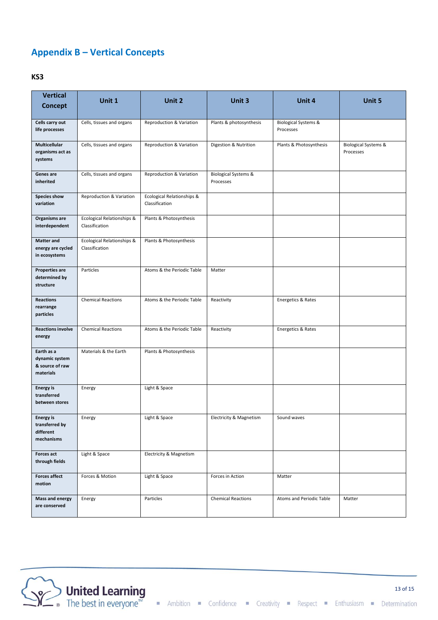# **Appendix B – Vertical Concepts**

#### **KS3**

| <b>Vertical</b><br><b>Concept</b>                             | Unit 1<br>Unit 2<br>Unit 3                   |                                              |                                              | Unit 4                                       | Unit 5                                       |
|---------------------------------------------------------------|----------------------------------------------|----------------------------------------------|----------------------------------------------|----------------------------------------------|----------------------------------------------|
|                                                               |                                              |                                              |                                              |                                              |                                              |
| Cells carry out<br>life processes                             | Cells, tissues and organs                    | Reproduction & Variation                     | Plants & photosynthesis                      | <b>Biological Systems &amp;</b><br>Processes |                                              |
| Multicellular<br>organisms act as<br>systems                  | Cells, tissues and organs                    | Reproduction & Variation                     | Digestion & Nutrition                        | Plants & Photosynthesis                      | <b>Biological Systems &amp;</b><br>Processes |
| Genes are<br>inherited                                        | Cells, tissues and organs                    | Reproduction & Variation                     | <b>Biological Systems &amp;</b><br>Processes |                                              |                                              |
| Species show<br>variation                                     | Reproduction & Variation                     | Ecological Relationships &<br>Classification |                                              |                                              |                                              |
| Organisms are<br>interdependent                               | Ecological Relationships &<br>Classification | Plants & Photosynthesis                      |                                              |                                              |                                              |
| <b>Matter and</b><br>energy are cycled<br>in ecosystems       | Ecological Relationships &<br>Classification | Plants & Photosynthesis                      |                                              |                                              |                                              |
| <b>Properties are</b><br>determined by<br>structure           | Particles                                    | Atoms & the Periodic Table                   | Matter                                       |                                              |                                              |
| <b>Reactions</b><br>rearrange<br>particles                    | <b>Chemical Reactions</b>                    | Atoms & the Periodic Table                   | Reactivity                                   | Energetics & Rates                           |                                              |
| <b>Reactions involve</b><br>energy                            | <b>Chemical Reactions</b>                    | Atoms & the Periodic Table                   | Reactivity                                   | Energetics & Rates                           |                                              |
| Earth as a<br>dynamic system<br>& source of raw<br>materials  | Materials & the Earth                        | Plants & Photosynthesis                      |                                              |                                              |                                              |
| <b>Energy</b> is<br>transferred<br>between stores             | Energy                                       | Light & Space                                |                                              |                                              |                                              |
| <b>Energy is</b><br>transferred by<br>different<br>mechanisms | Energy                                       | Light & Space                                | Electricity & Magnetism                      | Sound waves                                  |                                              |
| <b>Forces act</b><br>through fields                           | Light & Space                                | Electricity & Magnetism                      |                                              |                                              |                                              |
| <b>Forces affect</b><br>motion                                | Forces & Motion                              | Light & Space                                | Forces in Action                             | Matter                                       |                                              |
| <b>Mass and energy</b><br>are conserved                       | Energy                                       | Particles                                    | <b>Chemical Reactions</b>                    | Atoms and Periodic Table                     | Matter                                       |

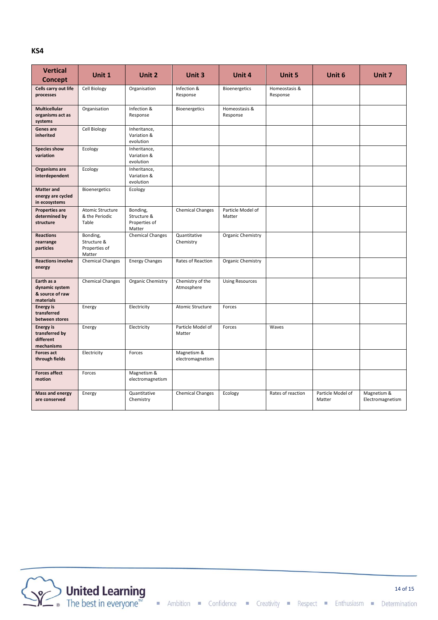#### **KS4**

| <b>Vertical</b><br><b>Concept</b>                             | Unit 1                                             | Unit 2                                             | Unit 3                          | Unit 4                      | <b>Unit 5</b>             | Unit 6                      | Unit 7                          |
|---------------------------------------------------------------|----------------------------------------------------|----------------------------------------------------|---------------------------------|-----------------------------|---------------------------|-----------------------------|---------------------------------|
| Cells carry out life<br>processes                             | Cell Biology                                       | Organisation                                       | Infection &<br>Response         | Bioenergetics               | Homeostasis &<br>Response |                             |                                 |
| Multicellular<br>organisms act as<br>systems                  | Organisation                                       | Infection &<br>Response                            | Bioenergetics                   | Homeostasis &<br>Response   |                           |                             |                                 |
| Genes are<br>inherited                                        | Cell Biology                                       | Inheritance,<br>Variation &<br>evolution           |                                 |                             |                           |                             |                                 |
| Species show<br>variation                                     | Ecology                                            | Inheritance,<br>Variation &<br>evolution           |                                 |                             |                           |                             |                                 |
| Organisms are<br>interdependent                               | Ecology                                            | Inheritance,<br>Variation &<br>evolution           |                                 |                             |                           |                             |                                 |
| <b>Matter and</b><br>energy are cycled<br>in ecosystems       | Bioenergetics                                      | Ecology                                            |                                 |                             |                           |                             |                                 |
| <b>Properties are</b><br>determined by<br>structure           | Atomic Structure<br>& the Periodic<br>Table        | Bonding,<br>Structure &<br>Properties of<br>Matter | <b>Chemical Changes</b>         | Particle Model of<br>Matter |                           |                             |                                 |
| <b>Reactions</b><br>rearrange<br>particles                    | Bonding,<br>Structure &<br>Properties of<br>Matter | <b>Chemical Changes</b>                            | Quantitative<br>Chemistry       | Organic Chemistry           |                           |                             |                                 |
| <b>Reactions involve</b><br>energy                            | <b>Chemical Changes</b>                            | <b>Energy Changes</b>                              | Rates of Reaction               | Organic Chemistry           |                           |                             |                                 |
| Earth as a<br>dynamic system<br>& source of raw<br>materials  | <b>Chemical Changes</b>                            | Organic Chemistry                                  | Chemistry of the<br>Atmosphere  | <b>Using Resources</b>      |                           |                             |                                 |
| <b>Energy is</b><br>transferred<br>between stores             | Energy                                             | Electricity                                        | Atomic Structure                | Forces                      |                           |                             |                                 |
| <b>Energy is</b><br>transferred by<br>different<br>mechanisms | Energy                                             | Electricity                                        | Particle Model of<br>Matter     | Forces                      | Waves                     |                             |                                 |
| <b>Forces act</b><br>through fields                           | Electricity                                        | Forces                                             | Magnetism &<br>electromagnetism |                             |                           |                             |                                 |
| <b>Forces affect</b><br>motion                                | Forces                                             | Magnetism &<br>electromagnetism                    |                                 |                             |                           |                             |                                 |
| <b>Mass and energy</b><br>are conserved                       | Energy                                             | Quantitative<br>Chemistry                          | <b>Chemical Changes</b>         | Ecology                     | Rates of reaction         | Particle Model of<br>Matter | Magnetism &<br>Electromagnetism |